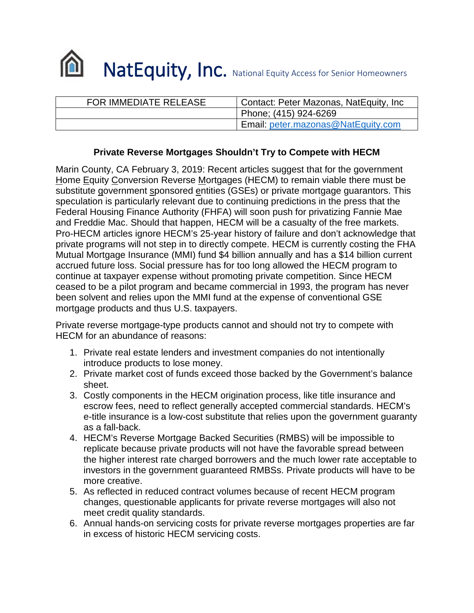

| FOR IMMEDIATE RELEASE | Contact: Peter Mazonas, NatEquity, Inc. |
|-----------------------|-----------------------------------------|
|                       | Phone; (415) 924-6269                   |
|                       | Email: peter.mazonas@NatEquity.com      |

## **Private Reverse Mortgages Shouldn't Try to Compete with HECM**

Marin County, CA February 3, 2019: Recent articles suggest that for the government Home Equity Conversion Reverse Mortgages (HECM) to remain viable there must be substitute government sponsored entities (GSEs) or private mortgage guarantors. This speculation is particularly relevant due to continuing predictions in the press that the Federal Housing Finance Authority (FHFA) will soon push for privatizing Fannie Mae and Freddie Mac. Should that happen, HECM will be a casualty of the free markets. Pro-HECM articles ignore HECM's 25-year history of failure and don't acknowledge that private programs will not step in to directly compete. HECM is currently costing the FHA Mutual Mortgage Insurance (MMI) fund \$4 billion annually and has a \$14 billion current accrued future loss. Social pressure has for too long allowed the HECM program to continue at taxpayer expense without promoting private competition. Since HECM ceased to be a pilot program and became commercial in 1993, the program has never been solvent and relies upon the MMI fund at the expense of conventional GSE mortgage products and thus U.S. taxpayers.

Private reverse mortgage-type products cannot and should not try to compete with HECM for an abundance of reasons:

- 1. Private real estate lenders and investment companies do not intentionally introduce products to lose money.
- 2. Private market cost of funds exceed those backed by the Government's balance sheet.
- 3. Costly components in the HECM origination process, like title insurance and escrow fees, need to reflect generally accepted commercial standards. HECM's e-title insurance is a low-cost substitute that relies upon the government guaranty as a fall-back.
- 4. HECM's Reverse Mortgage Backed Securities (RMBS) will be impossible to replicate because private products will not have the favorable spread between the higher interest rate charged borrowers and the much lower rate acceptable to investors in the government guaranteed RMBSs. Private products will have to be more creative.
- 5. As reflected in reduced contract volumes because of recent HECM program changes, questionable applicants for private reverse mortgages will also not meet credit quality standards.
- 6. Annual hands-on servicing costs for private reverse mortgages properties are far in excess of historic HECM servicing costs.